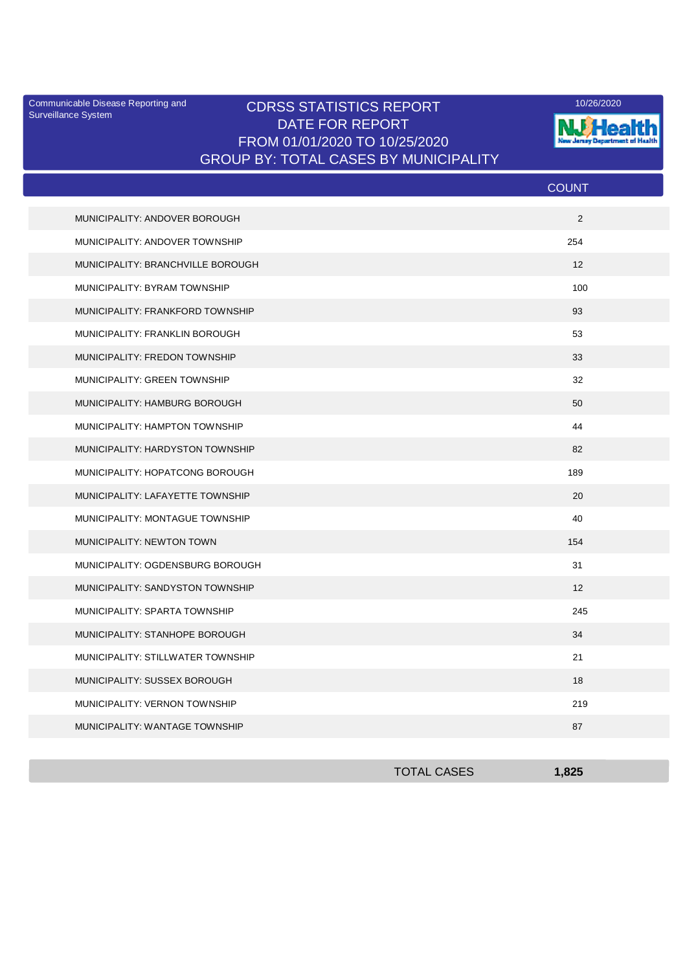Surveillance System

## Communicable Disease Reporting and **CDRSS STATISTICS REPORT** 10/26/2020<br>Surveillance Statem DATE FOR REPORT FROM 01/01/2020 TO 10/25/2020 GROUP BY: TOTAL CASES BY MUNICIPALITY



|                                   | <b>COUNT</b> |
|-----------------------------------|--------------|
| MUNICIPALITY: ANDOVER BOROUGH     | 2            |
| MUNICIPALITY: ANDOVER TOWNSHIP    | 254          |
| MUNICIPALITY: BRANCHVILLE BOROUGH | 12           |
| MUNICIPALITY: BYRAM TOWNSHIP      | 100          |
| MUNICIPALITY: FRANKFORD TOWNSHIP  | 93           |
| MUNICIPALITY: FRANKLIN BOROUGH    | 53           |
| MUNICIPALITY: FREDON TOWNSHIP     | 33           |
| MUNICIPALITY: GREEN TOWNSHIP      | 32           |
| MUNICIPALITY: HAMBURG BOROUGH     | 50           |
| MUNICIPALITY: HAMPTON TOWNSHIP    | 44           |
| MUNICIPALITY: HARDYSTON TOWNSHIP  | 82           |
| MUNICIPALITY: HOPATCONG BOROUGH   | 189          |
| MUNICIPALITY: LAFAYETTE TOWNSHIP  | 20           |
| MUNICIPALITY: MONTAGUE TOWNSHIP   | 40           |
| MUNICIPALITY: NEWTON TOWN         | 154          |
| MUNICIPALITY: OGDENSBURG BOROUGH  | 31           |
| MUNICIPALITY: SANDYSTON TOWNSHIP  | 12           |
| MUNICIPALITY: SPARTA TOWNSHIP     | 245          |
| MUNICIPALITY: STANHOPE BOROUGH    | 34           |
| MUNICIPALITY: STILLWATER TOWNSHIP | 21           |
| MUNICIPALITY: SUSSEX BOROUGH      | 18           |
| MUNICIPALITY: VERNON TOWNSHIP     | 219          |
| MUNICIPALITY: WANTAGE TOWNSHIP    | 87           |

| <b>TOTAL CASES</b> | .825 |
|--------------------|------|
|                    |      |